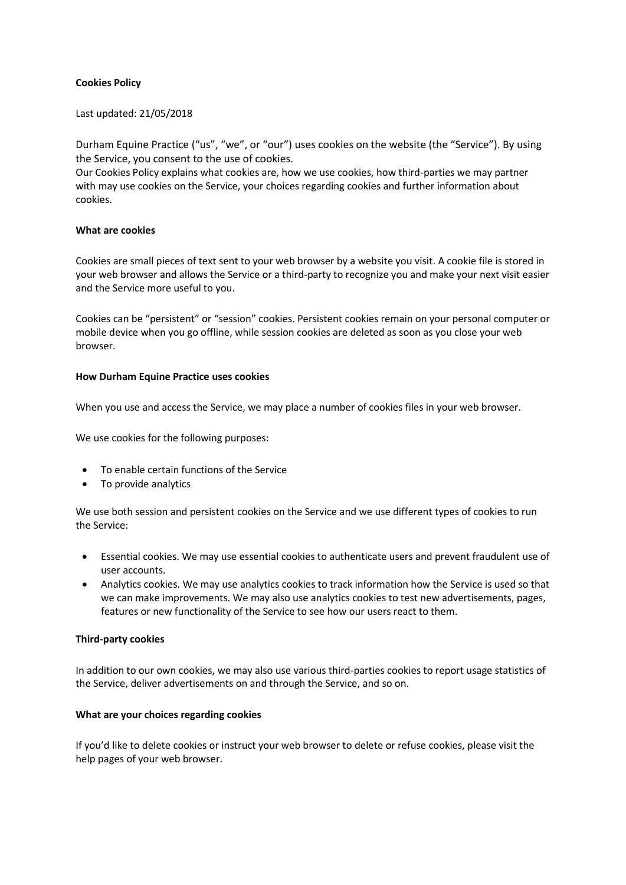## **Cookies Policy**

#### Last updated: 21/05/2018

Durham Equine Practice ("us", "we", or "our") uses cookies on the website (the "Service"). By using the Service, you consent to the use of cookies.

Our Cookies Policy explains what cookies are, how we use cookies, how third-parties we may partner with may use cookies on the Service, your choices regarding cookies and further information about cookies.

## **What are cookies**

Cookies are small pieces of text sent to your web browser by a website you visit. A cookie file is stored in your web browser and allows the Service or a third-party to recognize you and make your next visit easier and the Service more useful to you.

Cookies can be "persistent" or "session" cookies. Persistent cookies remain on your personal computer or mobile device when you go offline, while session cookies are deleted as soon as you close your web browser.

## **How Durham Equine Practice uses cookies**

When you use and access the Service, we may place a number of cookies files in your web browser.

We use cookies for the following purposes:

- To enable certain functions of the Service
- To provide analytics

We use both session and persistent cookies on the Service and we use different types of cookies to run the Service:

- Essential cookies. We may use essential cookies to authenticate users and prevent fraudulent use of user accounts.
- Analytics cookies. We may use analytics cookies to track information how the Service is used so that we can make improvements. We may also use analytics cookies to test new advertisements, pages, features or new functionality of the Service to see how our users react to them.

#### **Third-party cookies**

In addition to our own cookies, we may also use various third-parties cookies to report usage statistics of the Service, deliver advertisements on and through the Service, and so on.

#### **What are your choices regarding cookies**

If you'd like to delete cookies or instruct your web browser to delete or refuse cookies, please visit the help pages of your web browser.